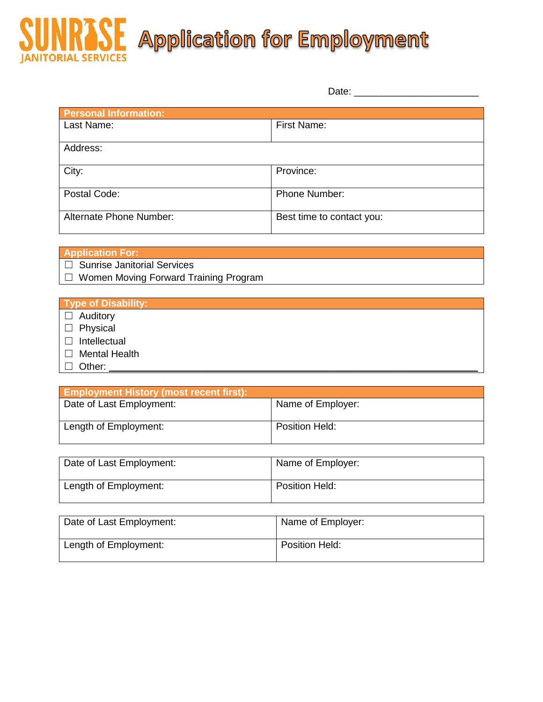## Application for Employment **ORIAL SERVICES**

|                              | Date:                     |
|------------------------------|---------------------------|
| <b>Personal Information:</b> |                           |
| Last Name:                   | First Name:               |
| Address:                     |                           |
| City:                        | Province:                 |
| Postal Code:                 | Phone Number:             |
| Alternate Phone Number:      | Best time to contact you: |

| <b>Application For:</b>                      |  |
|----------------------------------------------|--|
| ∪ Sunrise Janitorial Services                |  |
| $\Box$ Women Moving Forward Training Program |  |

## **Type of Disability:**

- □ Auditory □ Physical
- 
- □ Intellectual
- □ Mental Health
- $\Box$  Other:

| <b>Employment History (most recent first):</b> |                   |
|------------------------------------------------|-------------------|
| Date of Last Employment:                       | Name of Employer: |
| Length of Employment:                          | Position Held:    |

| Date of Last Employment: | Name of Employer:     |
|--------------------------|-----------------------|
| Length of Employment:    | <b>Position Held:</b> |

| Date of Last Employment: | Name of Employer:     |
|--------------------------|-----------------------|
| Length of Employment:    | <b>Position Held:</b> |